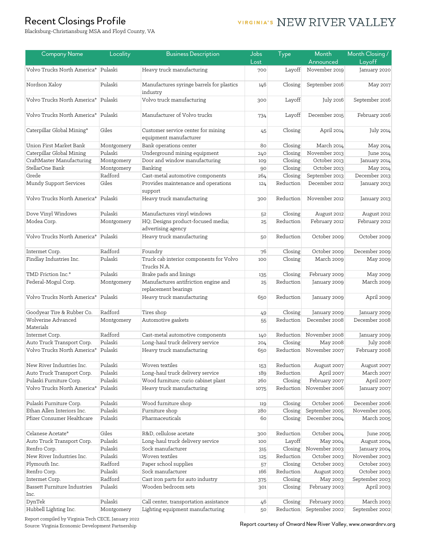### Recent Closings Profile

# VIRGINIA'S NEW RIVER VALLEY

Blacksburg-Christiansburg MSA and Floyd County, VA

| <b>Company Name</b>                         | Locality   | <b>Business Description</b>                                  | Jobs   | Type      | Month          | Month Closing /   |
|---------------------------------------------|------------|--------------------------------------------------------------|--------|-----------|----------------|-------------------|
|                                             |            |                                                              | Lost   |           | Announced      | Layoff            |
| Volvo Trucks North America*                 | Pulaski    | Heavy truck manufacturing                                    | 700    | Layoff    | November 2019  | January 2020      |
| Nordson Xaloy                               | Pulaski    | Manufactures syringe barrels for plastics<br>industry        | 146    | Closing   | September 2016 | May 2017          |
| Volvo Trucks North America*                 | Pulaski    | Volvo truck manufacturing                                    | 300    | Layoff    | July 2016      | September 2016    |
| Volvo Trucks North America*                 | Pulaski    | Manufacturer of Volvo trucks                                 | 734    | Layoff    | December 2015  | February 2016     |
| Caterpillar Global Mining*                  | Giles      | Customer service center for mining<br>equipment manufacturer | 45     | Closing   | April 2014     | July 2014         |
| Union First Market Bank                     | Montgomery | Bank operations center                                       | 80     | Closing   | March 2014     | May 2014          |
| Caterpillar Global Mining                   | Pulaski    | Underground mining equipment                                 | 240    | Closing   | November 2013  | June 2014         |
| CraftMaster Manufacturing                   | Montgomery | Door and window manufacturing                                | 109    | Closing   | October 2013   | January 2014      |
| StellarOne Bank                             | Montgomery | Banking                                                      | 90     | Closing   | October 2013   | May 2014          |
| Grede                                       | Radford    | Cast-metal automotive components                             | 264    | Closing   | September 2013 | December 2013     |
| Mundy Support Services                      | Giles      | Provides maintenance and operations<br>support               | 124    | Reduction | December 2012  | January 2013      |
| Volvo Trucks North America*                 | Pulaski    | Heavy truck manufacturing                                    | 300    | Reduction | November 2012  | January 2013      |
| Dove Vinyl Windows                          | Pulaski    | Manufactures vinyl windows                                   | 52     | Closing   | August 2012    | August 2012       |
| Modea Corp.                                 | Montgomery | HQ; Designs product-focused media;<br>advertising agency     | 25     | Reduction | February 2012  | February 2012     |
| Volvo Trucks North America*                 | Pulaski    | Heavy truck manufacturing                                    | 50     | Reduction | October 2009   | October 2009      |
| Intermet Corp.                              | Radford    | Foundry                                                      | 76     | Closing   | October 2009   | December 2009     |
| Findlay Industries Inc.                     | Pulaski    | Truck cab interior components for Volvo<br>Trucks N.A.       | 100    | Closing   | March 2009     | May 2009          |
| TMD Friction Inc.*                          | Pulaski    | Brake pads and linings                                       | 135    | Closing   | February 2009  | May 2009          |
| Federal-Mogul Corp.                         | Montgomery | Manufactures antifriction engine and<br>replacement bearings | 25     | Reduction | January 2009   | <b>March 2009</b> |
| Volvo Trucks North America*                 | Pulaski    | Heavy truck manufacturing                                    | 650    | Reduction | January 2009   | April 2009        |
| Goodyear Tire & Rubber Co.                  | Radford    | Tires shop                                                   | 49     | Closing   | January 2009   | January 2009      |
| Wolverine Advanced<br>Materials             | Montgomery | Automotive gaskets                                           | 55     | Reduction | December 2008  | December 2008     |
| Intermet Corp.                              | Radford    | Cast-metal automotive components                             | 140    | Reduction | November 2008  | January 2009      |
| Auto Truck Transport Corp.                  | Pulaski    | Long-haul truck delivery service                             | 204    | Closing   | May 2008       | <b>July 2008</b>  |
| Volvo Trucks North America*                 | Pulaski    | Heavy truck manufacturing                                    | 650    | Reduction | November 2007  | February 2008     |
| New River Industries Inc.                   | Pulaski    | Woven textiles                                               | 153    | Reduction | August 2007    | August 2007       |
| Auto Truck Transport Corp.                  | Pulaski    | Long-haul truck delivery service                             | 189    | Reduction | April 2007     | <b>March 2007</b> |
| Pulaski Furniture Corp.                     | Pulaski    | Wood furniture; curio cabinet plant                          | 260    | Closing   | February 2007  | April 2007        |
| Volvo Trucks North America*                 | Pulaski    | Heavy truck manufacturing                                    | 1075   | Reduction | November 2006  | January 2007      |
| Pulaski Furniture Corp.                     | Pulaski    | Wood furniture shop                                          | 119    | Closing   | October 2006   | December 2006     |
| Ethan Allen Interiors Inc.                  | Pulaski    | Furniture shop                                               | 280    | Closing   | September 2005 | November 2005     |
| Pfizer Consumer Healthcare                  | Pulaski    | Pharmaceuticals                                              | 60     | Closing   | December 2004  | March 2005        |
| Celanese Acetate*                           | Giles      | R&D, cellulose acetate                                       | 300    | Reduction | October 2004   | June 2005         |
| Auto Truck Transport Corp.                  | Pulaski    | Long-haul truck delivery service                             | 100    | Layoff    | May 2004       | August 2004       |
| Renfro Corp.                                | Pulaski    | Sock manufacturer                                            | 315    | Closing   | November 2003  | January 2004      |
| New River Industries Inc.                   | Pulaski    | Woven textiles                                               | 125    | Reduction | October 2003   | November 2003     |
| Plymouth Inc.                               | Radford    | Paper school supplies                                        | 57     | Closing   | October 2003   | October 2003      |
| Renfro Corp.                                | Pulaski    | Sock manufacturer                                            | 166    | Reduction | August 2003    | October 2003      |
| Intermet Corp.                              | Radford    | Cast iron parts for auto industry                            | 375    | Closing   | May 2003       | September 2003    |
| <b>Bassett Furniture Industries</b><br>Inc. | Pulaski    | Wooden bedroom sets                                          | 301    | Closing   | February 2003  | April 2003        |
| DynTek                                      | Pulaski    | Call center, transportation assistance                       | $46\,$ | Closing   | February 2003  | March 2003        |
| Hubbell Lighting Inc.                       | Montgomery | Lighting equipment manufacturing                             | 50     | Reduction | September 2002 | September 2002    |

Report compiled by Virginia Tech CECE, January 2022